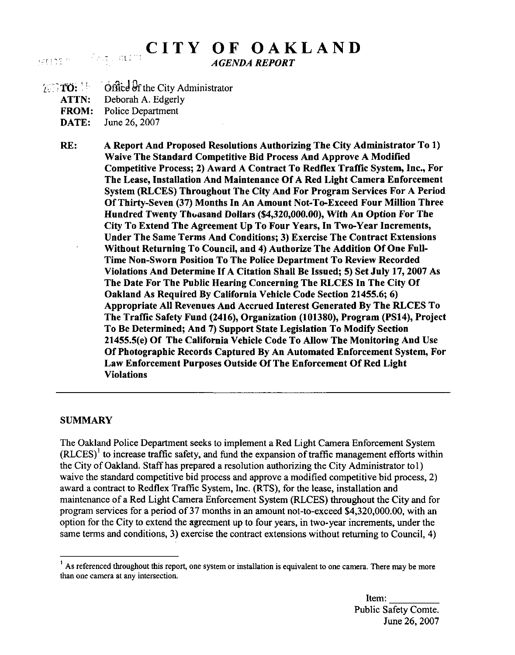# CITY OF OAKLAND

AGENDA REPORT

- 
- 16 TO:  $\frac{1}{2}$  Office of the City Administrator ATTN: Deborah A. Edgerly
	- FROM: Police Department
	-
	- DATE: June 26, 2007

SATIOS (C)

RE: A Report And Proposed Resolutions Authorizing The City Administrator To 1) Waive The Standard Competitive Bid Process And Approve A Modified Competitive Process; 2) Award A Contract To Redflex Traffic System, Inc., For The Lease, Installation And Maintenance Of A Red Light Camera Enforcement System (RLCES) Throughout The City And For Program Services For A Period Of Thirty-Seven (37) Months In An Amount Not-To-Exceed Four Million Three Hundred Twenty Thousand Dollars (\$4,320,000.00), With An Option For The City To Extend The Agreement Up To Four Years, In Two-Year Increments, Under The Same Terms And Conditions; 3) Exercise The Contract Extensions Without Returning To Council, and 4) Authorize The Addition Of One Full-Time Non-Sworn Position To The Police Department To Review Recorded Violations And Determine If A Citation Shall Be Issued; 5) Set July 17, 2007 As The Date For The Public Hearing Concerning The RLCES In The City Of Oakland As Required By California Vehicle Code Section 21455.6; 6) Appropriate All Revenues And Accrued Interest Generated By The RLCES To The Traffic Safety Fund (2416), Organization (101380), Program (PS14), Project To Be Determined; And 7) Support State Legislation To Modify Section 21455.5(e) Of The California Vehicle Code To Allow The Monitoring And Use Of Photographic Records Captured By An Automated Enforcement System, For Law Enforcement Purposes Outside Of The Enforcement Of Red Light Violations

#### SUMMARY

The Oakland Police Department seeks to implement a Red Light Camera Enforcement System  $(RLCES)^{1}$  to increase traffic safety, and fund the expansion of traffic management efforts within the City of Oakland. Staff has prepared a resolution authorizing the City Administrator tol) waive the standard competitive bid process and approve a modified competitive bid process, 2) award a contract to Redflex Traffic System, Inc. (RTS), for the lease, installation and maintenance of a Red Light Camera Enforcement System (RLCES) throughout the City and for program services for a period of 37 months in an amount not-to-exceed \$4,320,000.00, with an option for the City to extend the agreement up to four years, in two-year increments, under the same terms and conditions, 3) exercise the contract extensions without returning to Council, 4)

<sup>&</sup>lt;sup>1</sup> As referenced throughout this report, one system or installation is equivalent to one camera. There may be more than one camera at any intersection.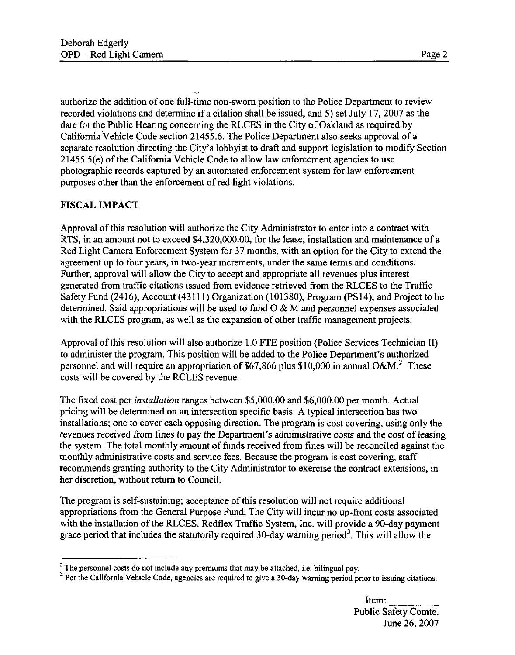authorize the addition of one full-time non-sworn position to the Police Department to review recorded violations and determine if a citation shall be issued, and 5) set July 17, 2007 as the date for the Public Hearing concerning the RLCES in the City of Oakland as required by California Vehicle Code section 21455.6. The Police Department also seeks approval of a separate resolution directing the City's lobbyist to draft and support legislation to modify Section 21455.5(e) of the California Vehicle Code to allow law enforcement agencies to use photographic records captured by an automated enforcement system for law enforcement purposes other than the enforcement of red light violations.

# FISCAL IMPACT

Approval of this resolution will authorize the City Administrator to enter into a contract with RTS, in an amount not to exceed \$4,320,000.00, for the lease, installation and maintenance of a Red Light Camera Enforcement System for 37 months, with an option for the City to extend the agreement up to four years, in two-year increments, under the same terms and conditions. Further, approval will allow the City to accept and appropriate all revenues plus interest generated from traffic citations issued from evidence retrieved from the RLCES to the Traffic Safety Fund (2416), Account (43111) Organization (101380), Program (PS14), and Project to be determined. Said appropriations will be used to fund  $O & M$  and personnel expenses associated with the RLCES program, as well as the expansion of other traffic management projects.

Approval of this resolution will also authorize 1.0 FTE position (Police Services Technician II) to administer the program. This position will be added to the Police Department's authorized personnel and will require an appropriation of \$67,866 plus \$10,000 in annual O&M.<sup>2</sup> These costs will be covered by the RCLES revenue.

The fixed cost per *installation* ranges between \$5,000.00 and \$6,000.00 per month. Actual pricing will be determined on an intersection specific basis. A typical intersection has two installations; one to cover each opposing direction. The program is cost covering, using only the revenues received from fines to pay the Department's administrative costs and the cost of leasing the system. The total monthly amount of funds received from fines will be reconciled against the monthly administrative costs and service fees. Because the program is cost covering, staff recommends granting authority to the City Administrator to exercise the contract extensions, in her discretion, without return to Council.

The program is self-sustaining; acceptance of this resolution will not require additional appropriations from the General Purpose Fund. The City will incur no up-front costs associated with the installation of the RLCES. Redflex Traffic System, Inc. will provide a 90-day payment grace period that includes the statutorily required  $30$ -day warning period<sup>3</sup>. This will allow the

 $2<sup>2</sup>$  The personnel costs do not include any premiums that may be attached, i.e. bilingual pay.

<sup>&</sup>lt;sup>3</sup> Per the California Vehicle Code, agencies are required to give a 30-day warning period prior to issuing citations.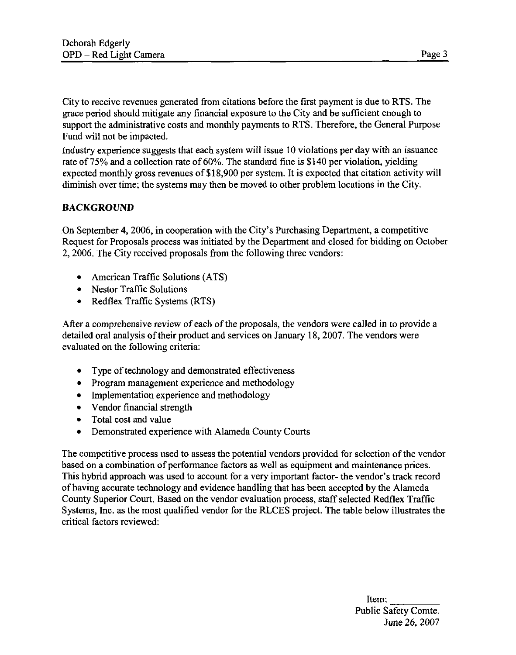City to receive revenues generated from citations before the first payment is due to RTS. The grace period should mitigate any financial exposure to the City and be sufficient enough to support the administrative costs and monthly payments to RTS. Therefore, the General Purpose Fund will not be impacted.

Industry experience suggests that each system will issue 10 violations per day with an issuance rate of 75% and a collection rate of 60%. The standard fine is \$140 per violation, yielding expected monthly gross revenues of \$18,900 per system. It is expected that citation activity will diminish over time; the systems may then be moved to other problem locations in the City.

## **BACKGROUND**

On September 4, 2006, in cooperation with the City's Purchasing Department, a competitive Request for Proposals process was initiated by the Department and closed for bidding on October 2, 2006. The City received proposals from the following three vendors:

- American Traffic Solutions (ATS)
- Nestor Traffic Solutions
- Redflex Traffic Systems (RTS)

After a comprehensive review of each of the proposals, the vendors were called in to provide a detailed oral analysis of their product and services on January 18, 2007. The vendors were evaluated on the following criteria:

- Type of technology and demonstrated effectiveness
- Program management experience and methodology
- Implementation experience and methodology
- Vendor financial strength
- Total cost and value
- Demonstrated experience with Alameda County Courts

The competitive process used to assess the potential vendors provided for selection of the vendor based on a combination of performance factors as well as equipment and maintenance prices. This hybrid approach was used to account for a very important factor- the vendor's track record of having accurate technology and evidence handling that has been accepted by the Alameda County Superior Court. Based on the vendor evaluation process, staff selected Redflex Traffic Systems, Inc. as the most qualified vendor for the RLCES project. The table below illustrates the critical factors reviewed: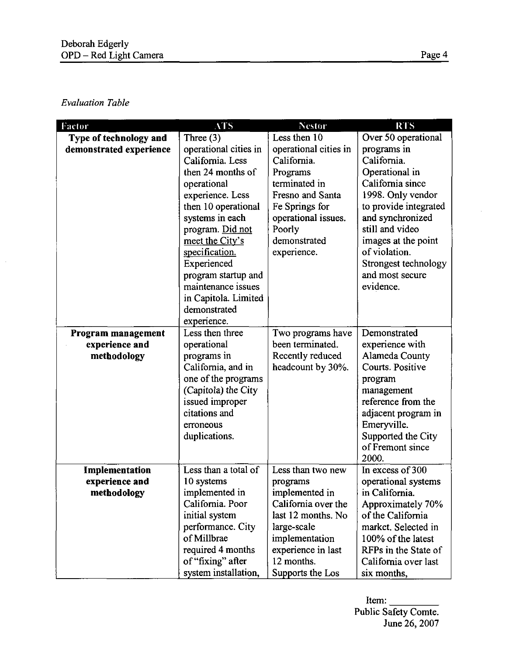## Evaluation Table

 $\bar{z}$ 

| Factor                  | <b>ATS</b>                      | <b>Nestor</b>         | <b>RTS</b>            |  |
|-------------------------|---------------------------------|-----------------------|-----------------------|--|
| Type of technology and  | Three $(3)$                     | Less then 10          | Over 50 operational   |  |
| demonstrated experience | operational cities in           | operational cities in | programs in           |  |
|                         | California. Less                | California.           | California.           |  |
|                         | then 24 months of               | Programs              | Operational in        |  |
|                         | operational                     | terminated in         | California since      |  |
|                         | experience. Less                | Fresno and Santa      | 1998. Only vendor     |  |
|                         | then 10 operational             | Fe Springs for        | to provide integrated |  |
|                         | systems in each                 | operational issues.   | and synchronized      |  |
|                         | program. Did not<br>Poorly      |                       | still and video       |  |
|                         | demonstrated<br>meet the City's |                       | images at the point   |  |
|                         | specification.<br>experience.   |                       | of violation.         |  |
|                         | Experienced                     |                       | Strongest technology  |  |
|                         | program startup and             |                       | and most secure       |  |
|                         | maintenance issues              |                       | evidence.             |  |
|                         | in Capitola. Limited            |                       |                       |  |
|                         | demonstrated                    |                       |                       |  |
|                         | experience.                     |                       |                       |  |
| Program management      | Less then three                 | Two programs have     | Demonstrated          |  |
| experience and          | operational                     | been terminated.      | experience with       |  |
| methodology             | programs in                     | Recently reduced      | Alameda County        |  |
|                         | California, and in              | headcount by 30%.     | Courts. Positive      |  |
|                         | one of the programs             |                       | program               |  |
|                         | (Capitola) the City             |                       | management            |  |
|                         | issued improper                 |                       | reference from the    |  |
|                         | citations and                   |                       | adjacent program in   |  |
|                         | erroneous                       |                       | Emeryville.           |  |
|                         | duplications.                   |                       | Supported the City    |  |
|                         |                                 |                       | of Fremont since      |  |
|                         |                                 |                       | 2000.                 |  |
| Implementation          | Less than a total of            | Less than two new     | In excess of 300      |  |
| experience and          | 10 systems                      | programs              | operational systems   |  |
| methodology             | implemented in                  | implemented in        | in California.        |  |
|                         | California. Poor                | California over the   | Approximately 70%     |  |
|                         | initial system                  | last 12 months. No    | of the California     |  |
|                         | performance. City               | large-scale           | market. Selected in   |  |
|                         | of Millbrae                     | implementation        | 100% of the latest    |  |
|                         | required 4 months               | experience in last    | RFPs in the State of  |  |
|                         | of "fixing" after               | 12 months.            | California over last  |  |
|                         | system installation,            | Supports the Los      | six months,           |  |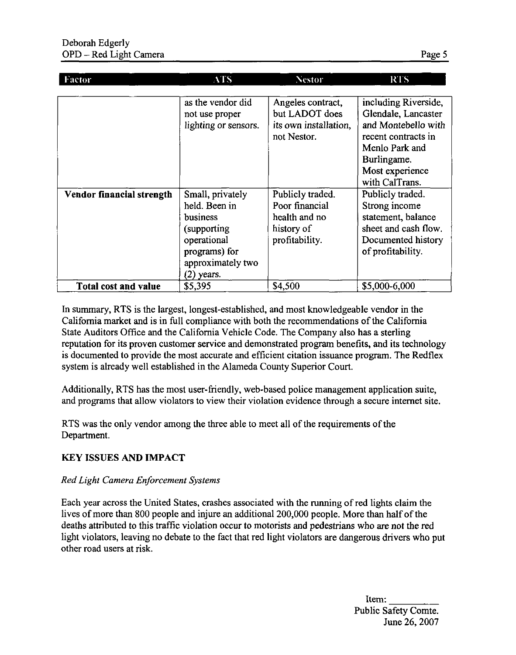| <b>Factor</b>               | ATS.                                                                                                                               | <b>Nestor</b>                                                                       | <b>RTS</b>                                                                                                                                                      |
|-----------------------------|------------------------------------------------------------------------------------------------------------------------------------|-------------------------------------------------------------------------------------|-----------------------------------------------------------------------------------------------------------------------------------------------------------------|
|                             |                                                                                                                                    |                                                                                     |                                                                                                                                                                 |
|                             | as the vendor did<br>not use proper<br>lighting or sensors.                                                                        | Angeles contract,<br>but LADOT does<br>its own installation,<br>not Nestor.         | including Riverside,<br>Glendale, Lancaster<br>and Montebello with<br>recent contracts in<br>Menlo Park and<br>Burlingame.<br>Most experience<br>with CalTrans. |
| Vendor financial strength   | Small, privately<br>held. Been in<br>business<br>(supporting)<br>operational<br>programs) for<br>approximately two<br>$(2)$ years. | Publicly traded.<br>Poor financial<br>health and no<br>history of<br>profitability. | Publicly traded.<br>Strong income<br>statement, balance<br>sheet and cash flow.<br>Documented history<br>of profitability.                                      |
| <b>Total cost and value</b> | \$5,395                                                                                                                            | \$4,500                                                                             | \$5,000-6,000                                                                                                                                                   |

In summary, RTS is the largest, longest-established, and most knowledgeable vendor in the California market and is in full compliance with both the recommendations of the California State Auditors Office and the California Vehicle Code. The Company also has a sterling reputation for its proven customer service and demonstrated program benefits, and its technology is documented to provide the most accurate and efficient citation issuance program. The Redflex system is already well established in the Alameda County Superior Court.

Additionally, RTS has the most user-friendly, web-based police management application suite, and programs that allow violators to view their violation evidence through a secure internet site.

RTS was the only vendor among the three able to meet all of the requirements of the Department.

#### KEY ISSUES AND IMPACT

#### Red Light Camera Enforcement Systems

Each year across the United States, crashes associated with the running of red lights claim the lives of more than 800 people and injure an additional 200,000 people. More than half of the deaths attributed to this traffic violation occur to motorists and pedestrians who are not the red light violators, leaving no debate to the fact that red light violators are dangerous drivers who put other road users at risk.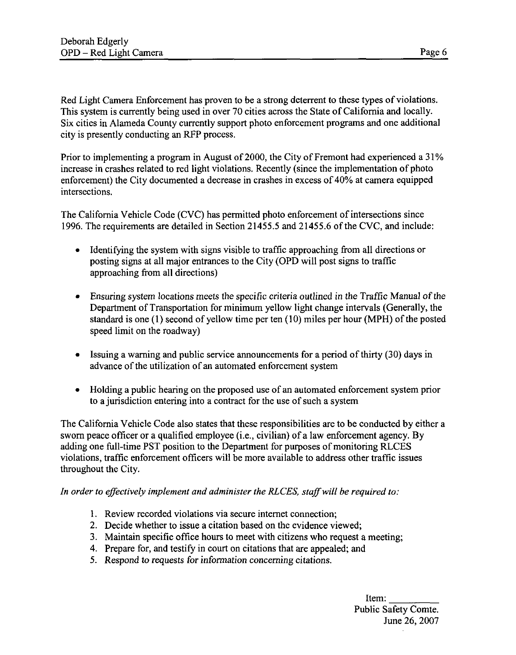Red Light Camera Enforcement has proven to be a strong deterrent to these types of violations. This system is currently being used in over 70 cities across the State of California and locally. Six cities in Alameda County currently support photo enforcement programs and one additional city is presently conducting an RFP process.

Prior to implementing a program in August of 2000, the City of Fremont had experienced a 31% increase in crashes related to red light violations. Recently (since the implementation of photo enforcement) the City documented a decrease in crashes in excess of 40% at camera equipped intersections.

The California Vehicle Code (CVC) has permitted photo enforcement of intersections since 1996. The requirements are detailed in Section 21455.5 and 21455.6 of the CVC, and include:

- Identifying the system with signs visible to traffic approaching from all directions or posting signs at all major entrances to the City (OPD will post signs to traffic approaching from all directions)
- Ensuring system locations meets the specific criteria outlined in the Traffic Manual of the Department of Transportation for minimum yellow light change intervals (Generally, the standard is one (1) second of yellow time per ten (10) miles per hour (MPH) of the posted speed limit on the roadway)
- Issuing a warning and public service announcements for a period of thirty (30) days in advance of the utilization of an automated enforcement system
- Holding a public hearing on the proposed use of an automated enforcement system prior to a jurisdiction entering into a contract for the use of such a system

The California Vehicle Code also states that these responsibilities are to be conducted by either a sworn peace officer or a qualified employee (i.e., civilian) of a law enforcement agency. By adding one full-time PST position to the Department for purposes of monitoring RLCES violations, traffic enforcement officers will be more available to address other traffic issues throughout the City.

In order to effectively implement and administer the RLCES, staff will be required to:

- 1. Review recorded violations via secure internet connection;
- 2. Decide whether to issue a citation based on the evidence viewed;
- 3. Maintain specific office hours to meet with citizens who request a meeting;
- 4. Prepare for, and testify in court on citations that are appealed; and
- 5. Respond to requests for information concerning citations.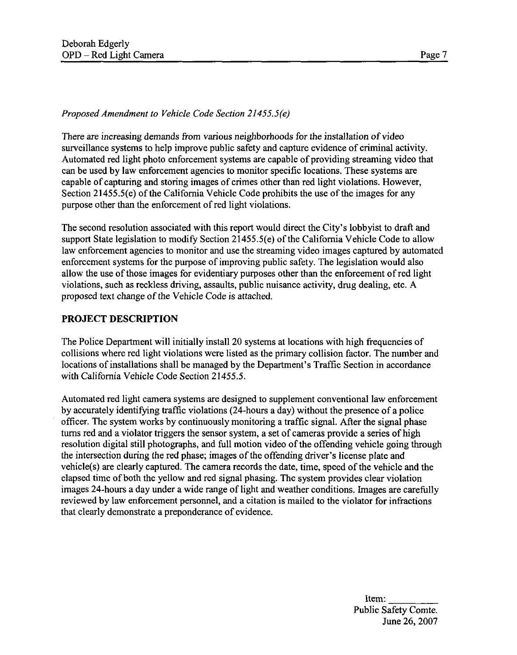#### Proposed Amendment to Vehicle Code Section 21455.5(e)

There are increasing demands from various neighborhoods for the installation of video surveillance systems to help improve public safety and capture evidence of criminal activity. Automated red light photo enforcement systems are capable of providing streaming video that can be used by law enforcement agencies to monitor specific locations. These systems are capable of capturing and storing images of crimes other than red light violations. However, Section 21455.5(e) of the California Vehicle Code prohibits the use of the images for any purpose other than the enforcement of red light violations.

The second resolution associated with this report would direct the City's lobbyist to draft and support State legislation to modify Section 21455.5(e) of the California Vehicle Code to allow law enforcement agencies to monitor and use the streaming video images captured by automated enforcement systems for the purpose of improving public safety. The legislation would also allow the use of those images for evidentiary purposes other than the enforcement of red light violations, such as reckless driving, assaults, public nuisance activity, drug dealing, etc. A proposed text change of the Vehicle Code is attached.

#### PROJECT DESCRIPTION

The Police Department will initially install 20 systems at locations with high frequencies of collisions where red light violations were listed as the primary collision factor. The number and locations of installations shall be managed by the Department's Traffic Section in accordance with California Vehicle Code Section 21455.5.

Automated red light camera systems are designed to supplement conventional law enforcement by accurately identifying traffic violations (24-hours a day) without the presence of a police officer. The system works by continuously monitoring a traffic signal. After the signal phase turns red and a violator triggers the sensor system, a set of cameras provide a series of high resolution digital still photographs, and full motion video of the offending vehicle going through the intersection during the red phase; images of the offending driver's license plate and vehicle(s) are clearly captured. The camera records the date, time, speed of the vehicle and the elapsed time of both the yellow and red signal phasing. The system provides clear violation images 24-hours a day under a wide range of light and weather conditions. Images are carefully reviewed by law enforcement personnel, and a citation is mailed to the violator for infractions that clearly demonstrate a preponderance of evidence.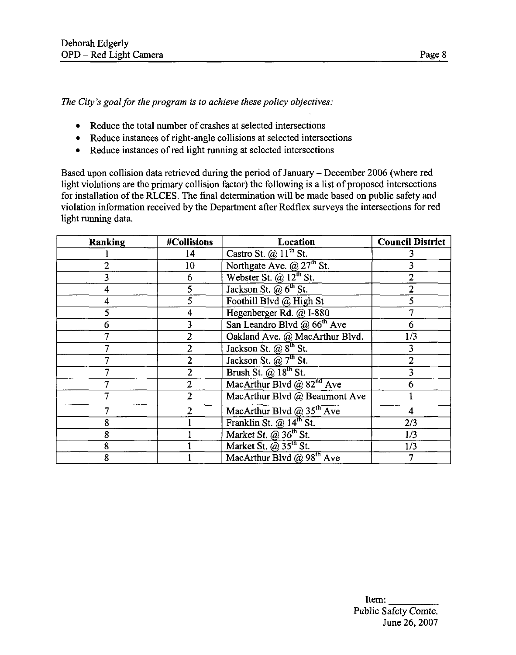The City's goal for the program is to achieve these policy objectives:

- Reduce the total number of crashes at selected intersections
- Reduce instances of right-angle collisions at selected intersections
- Reduce instances of red light running at selected intersections

Based upon collision data retrieved during the period of January - December 2006 (where red light violations are the primary collision factor) the following is a list of proposed intersections for installation of the RLCES. The final determination will be made based on public safety and violation information received by the Department after Redflex surveys the intersections for red light running data.

| Ranking | #Collisions    | <b>Location</b>                                 | <b>Council District</b> |
|---------|----------------|-------------------------------------------------|-------------------------|
|         | 14             | Castro St. $(a)$ $11^{\text{th}}$ St.           |                         |
|         | 10             | Northgate Ave. $@27^{\text{th}}$ St.            |                         |
|         | 6              | Webster St. $\overline{a}$ 12 <sup>th</sup> St. |                         |
|         |                | Jackson St. $\omega$ 6 <sup>th</sup> St.        |                         |
|         |                | Foothill Blvd @ High St                         |                         |
|         | 4              | Hegenberger Rd. @ I-880                         |                         |
|         |                | San Leandro Blvd @ $66th$ Ave                   | 6                       |
|         | $\overline{2}$ | Oakland Ave. @ MacArthur Blvd.                  | 1/3                     |
|         | $\overline{2}$ | Jackson St. $\omega$ 8 <sup>th</sup> St.        |                         |
|         | $\overline{2}$ | Jackson St. $(a)$ 7 <sup>th</sup> St.           |                         |
|         | 2              | Brush St. $\omega$ 18 <sup>th</sup> St.         |                         |
|         | $\overline{2}$ | MacArthur Blvd @ $82nd$ Ave                     |                         |
|         | $\overline{2}$ | MacArthur Blvd @ Beaumont Ave                   |                         |
|         |                | MacArthur Blvd @ $35th$ Ave                     |                         |
| 8       |                | Franklin St. $@14^{\text{th}}$ St.              | 2/3                     |
| 8       |                | Market St. @ 36 <sup>th</sup> St.               | 1/3                     |
| 8       |                | Market St. $(a)$ 35 <sup>th</sup> St.           | 1/3                     |
| 8       |                | MacArthur Blvd @ 98th Ave                       |                         |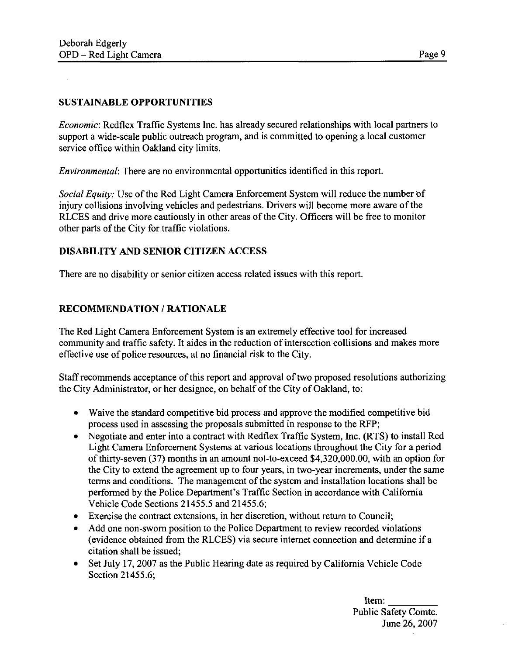#### SUSTAINABLE OPPORTUNITIES

Economic: Redflex Traffic Systems Inc. has already secured relationships with local partners to support a wide-scale public outreach program, and is committed to opening a local customer service office within Oakland city limits.

Environmental: There are no environmental opportunities identified in this report.

Social Equity: Use of the Red Light Camera Enforcement System will reduce the number of injury collisions involving vehicles and pedestrians. Drivers will become more aware of the RLCES and drive more cautiously in other areas of the City. Officers will be free to monitor other parts of the City for traffic violations.

#### DISABILITY AND SENIOR CITIZEN ACCESS

There are no disability or senior citizen access related issues with this report.

#### RECOMMENDATION / RATIONALE

The Red Light Camera Enforcement System is an extremely effective tool for increased community and traffic safety. It aides in the reduction of intersection collisions and makes more effective use of police resources, at no financial risk to the City.

Staff recommends acceptance of this report and approval of two proposed resolutions authorizing the City Administrator, or her designee, on behalf of the City of Oakland, to:

- Waive the standard competitive bid process and approve the modified competitive bid process used in assessing the proposals submitted in response to the RFP;
- Negotiate and enter into a contract with Redflex Traffic System, Inc. (RTS) to install Red Light Camera Enforcement Systems at various locations throughout the City for a period of thirty-seven (37) months in an amount not-to-exceed \$4,320,000.00, with an option for the City to extend the agreement up to four years, in two-year increments, under the same terms and conditions. The management of the system and installation locations shall be performed by the Police Department's Traffic Section in accordance with California Vehicle Code Sections 21455.5 and 21455.6;
- Exercise the contract extensions, in her discretion, without return to Council;
- Add one non-sworn position to the Police Department to review recorded violations (evidence obtained from the RLCES) via secure internet connection and determine if a citation shall be issued;
- Set July 17, 2007 as the Public Hearing date as required by California Vehicle Code Section 21455.6;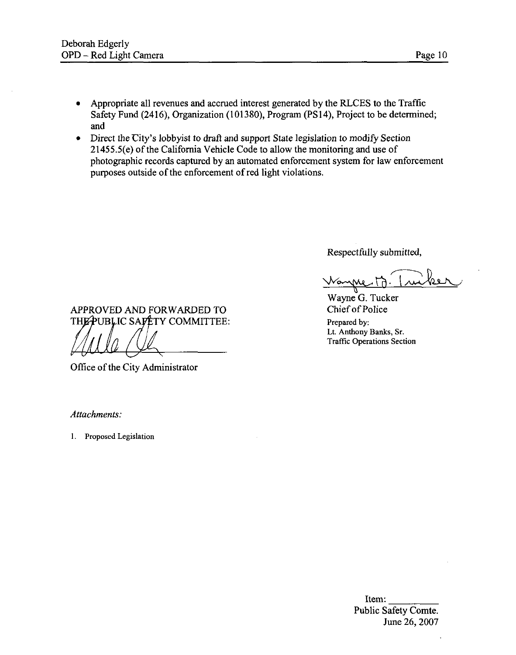- Appropriate all revenues and accrued interest generated by the RLCES to the Traffic  $\bullet$ Safety Fund (2416), Organization (101380), Program (PS 14), Project to be determined; and
- Direct the City's lobbyist to draft and support State legislation to modify Section  $\bullet$ 21455.5(e) of the California Vehicle Code to allow the monitoring and use of photographic records captured by an automated enforcement system for law enforcement purposes outside of the enforcement of red light violations.

Respectfully submitted,

Wayne G. Tucker<br>Chief of Police Lt. Anthony Banks, Sr. Traffic Operations Section

APPROVED AND FORWARDED TO THE PUBLIC SAFETY COMMITTEE: Prepared by:

Office of the City Administrator

Attachments:

1. Proposed Legislation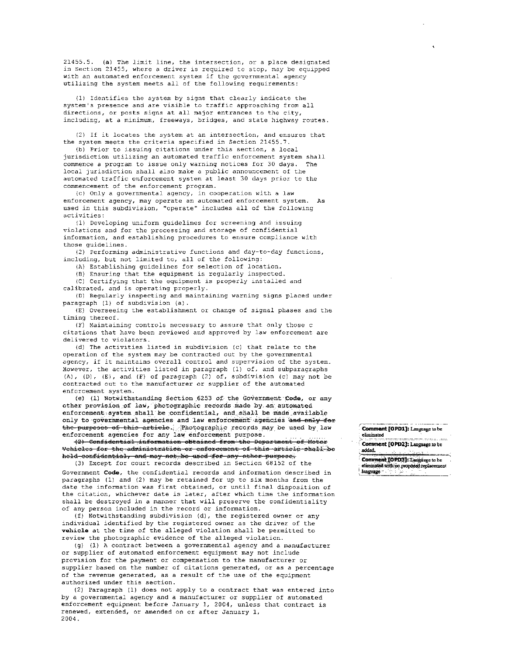21455.5. (a) The limit line, the intersection, or a place designated in Section 21455, where a driver is required to stop, may be equipped with an automated enforcement system if the governmental agency utilizing the system meets all of the following requirements :

(1) Identifies the system by signs that clearly indicate the system's presence and are visible to traffic approaching from all directions, or posts signs at all major entrances to the city, including, at a minimum, freeways, bridges, and state highway routes.

(2) If it locates the system at an intersection, and ensures that the system meets the criteria specified in Section 21455.7.

(b) Prior to issuing citations under this section, a local jurisdiction utilizing an automated traffic enforcement system shall commence a program to issue only warning notices for 30 days. The local jurisdiction shall also make a public announcement of the automated traffic enforcement system at least 30 days prior to the commencement of the enforcement program .

(c) Only a governmental agency, in cooperation with a law enforcement agency, may operate an automated enforcement system. As used in this subdivision, "operate" includes all of the following activities :

(1) Developing uniform guidelines for screening and issuing violations and for the processing and storage of confidential information, and establishing procedures to ensure compliance with those guidelines.

(2) Performing administrative functions and day-to-day functions, including, but not limited to, all of the following:

(A) Establishing guidelines for selection of location.

(B) Ensuring that the equipment is regularly inspected.

(C) Certifying that the equipment is properly installed and calibrated, and is operating properly.

(D) Regularly inspecting and maintaining warning signs placed under paragraph (1) of subdivision (a) .

(E) Overseeing the establishment or change of signal phases and the timing thereof.

IF) Maintaining controls necessary to assure that only those c citations that have been reviewed and approved by law enforcement are delivered to violators.

(d) The activities listed in subdivision (c) that relate to the operation of the system may be contracted out by the governmental agency, if it maintains overall control and supervision of the system. However, the activities listed in paragraph (1) of, and subparagraphs  $(A)$ ,  $(D)$ ,  $(E)$ , and  $(F)$  of paragraph  $(2)$  of, subdivision  $(c)$  may not be contracted out to the manufacturer or supplier of the automated enforcement system.

(e) (1) Notwithstanding Section 6253 of the Government  $Code$ , or any other provision of law, photographic records made by an automated enforcement system shall be confidential, and shall be made available only to governmental agencies and law enforcement agencies and only for the purposes of this article. . Photographic records may be used by law enforcement agencies for any law enforcement purpose.

-fS^ — ConJj.dcntJ.a'1 .information obtained 'from tho Department, of. Motecu: Vchiclcs for the administration or enforcement of this article shall be held confidential, and may not be used for any other purpose. (3) Except for court records described in Section 68152 of the

Government Code, the confidential records and information described in paragraphs (1) and (2) may be retained for up to six months from the date the information was first obtained, or until final disposition of the citation, whichever date is later, after which time the information shall be destroyed in a manner that will preserve the confidentiality of any person included in the record or information.

(f) Notwithstanding subdivision (d) , the registered owner or any individual identified by the registered owner as the driver of the vehicle at the time of the alleged violation shall be permitted to review the photographic evidence of the alleged violation.

(g) (1) A contract between a governmental agency and a manufacturer or supplier of automated enforcement equipment may not include provision for the payment or compensation to the manufacturer or supplier based on the number of citations generated, or as a percentage of the revenue generated, as a result of the use of the equipment authorized under this section.

(2) Paragraph (1) does not apply to a contract that was entered into by a governmental agency and a manufacturer or supplier of automated enforcement equipment before January 1, 2004, unless that contract is renewed, extended, or amended on or after January 1, 2004.

Comment JOPD1]: Language to be : eliminated

Comment [OPD2]: Language to be added.

Comment [OPD3]: Language to be<br>eliminated with no proposed replacement

language \*\*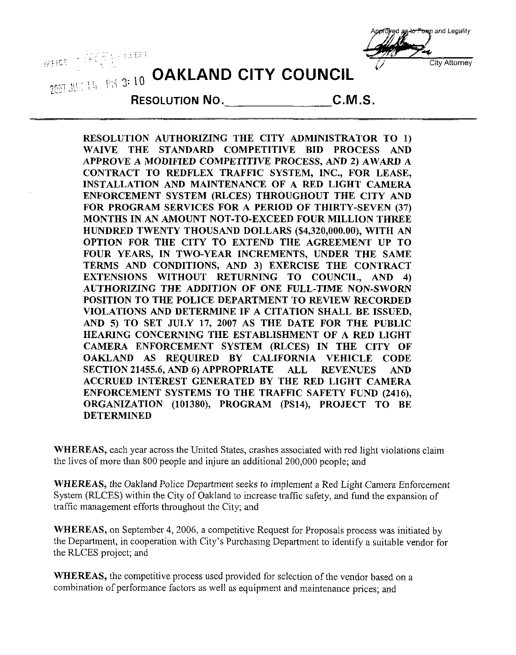

# **DEFICE OF DEEP 10 OAKLAND CITY COUNCIL**



RESOLUTION NO. C.M.S.

RESOLUTION AUTHORIZING THE CITY ADMINISTRATOR TO 1) WAIVE THE STANDARD COMPETITIVE BID PROCESS AND APPROVE A MODIFIED COMPETITIVE PROCESS, AND 2) AWARD A CONTRACT TO REDFLEX TRAFFIC SYSTEM, INC., FOR LEASE, INSTALLATION AND MAINTENANCE OF A RED LIGHT CAMERA ENFORCEMENT SYSTEM (RLCES) THROUGHOUT THE CITY AND FOR PROGRAM SERVICES FOR A PERIOD OF THIRTY-SEVEN (37) MONTHS IN AN AMOUNT NOT-TO-EXCEED FOUR MILLION THREE HUNDRED TWENTY THOUSAND DOLLARS (\$4,320,000.00), WITH AN OPTION FOR THE CITY TO EXTEND THE AGREEMENT UP TO FOUR YEARS, IN TWO-YEAR INCREMENTS, UNDER THE SAME TERMS AND CONDITIONS, AND 3) EXERCISE THE CONTRACT EXTENSIONS WITHOUT RETURNING TO COUNCIL, AND 4) AUTHORIZING THE ADDITION OF ONE FULL-TIME NON-SWORN POSITION TO THE POLICE DEPARTMENT TO REVIEW RECORDED VIOLATIONS AND DETERMINE IF A CITATION SHALL BE ISSUED, AND 5) TO SET JULY 17, 2007 AS THE DATE FOR THE PUBLIC HEARING CONCERNING THE ESTABLISHMENT OF A RED LIGHT CAMERA ENFORCEMENT SYSTEM (RLCES) IN THE CITY OF OAKLAND AS REQUIRED BY CALIFORNIA VEHICLE CODE SECTION 21455.6, AND 6) APPROPRIATE ALL REVENUES AND ACCRUED INTEREST GENERATED BY THE RED LIGHT CAMERA ENFORCEMENT SYSTEMS TO THE TRAFFIC SAFETY FUND (2416), ORGANIZATION (101380), PROGRAM (PS14), PROJECT TO BE DETERMINED

WHEREAS, each year across the United States, crashes associated with red light violations claim the lives of more than 800 people and injure an additional 200,000 people; and

WHEREAS, the Oakland Police Department seeks to implement a Red Light Camera Enforcement System (RLCES) within the City of Oakland to increase traffic safety, and fund the expansion of traffic management efforts throughout the City; and

WHEREAS, on September 4, 2006, a competitive Request for Proposals process was initiated by the Department, in cooperation with City's Purchasing Department to identify a suitable vendor for the RLCES project; and

WHEREAS, the competitive process used provided for selection of the vendor based on a combination of performance factors as well as equipment and maintenance prices; and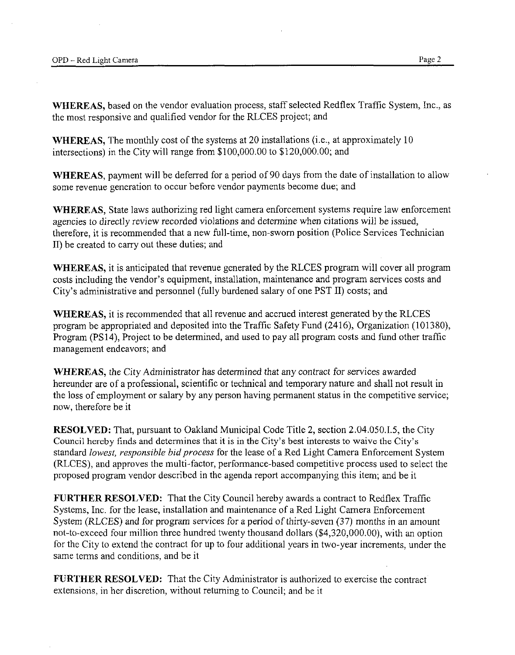WHEREAS, based on the vendor evaluation process, staff selected Redflex Traffic System, Inc., as the most responsive and qualified vendor for the RLCES project; and

WHEREAS, The monthly cost of the systems at 20 installations (i.e., at approximately 10 intersections) in the City will range from \$100,000.00 to \$120,000.00; and

WHEREAS, payment will be deferred for a period of 90 days from the date of installation to allow some revenue generation to occur before vendor payments become due; and

WHEREAS, State laws authorizing red light camera enforcement systems require law enforcement agencies to directly review recorded violations and determine when citations will be issued, therefore, it is recommended that a new full-time, non-sworn position (Police Services Technician II) be created to carry out these duties; and

WHEREAS, it is anticipated that revenue generated by the RLCES program will cover all program costs including the vendor's equipment, installation, maintenance and program services costs and City's administrative and personnel (fully burdened salary of one PST II) costs; and

WHEREAS, it is recommended that all revenue and accrued interest generated by the RLCES program be appropriated and deposited into the Traffic Safety Fund (2416), Organization (101380), Program (PS14), Project to be determined, and used to pay all program costs and fund other traffic management endeavors; and

WHEREAS, the City Administrator has determined that any contract for services awarded hereunder are of a professional, scientific or technical and temporary nature and shall not result in the loss of employment or salary by any person having permanent status in the competitive service; now, therefore be it

RESOLVED: That, pursuant to Oakland Municipal Code Title 2, section 2.04.050.1.5, the City Council hereby finds and determines that it is in the City's best interests to waive the City's standard lowest, responsible bid process for the lease of a Red Light Camera Enforcement System (RLCES), and approves the multi-factor, performance-based competitive process used to select the proposed program vendor described in the agenda report accompanying this item; and be it

FURTHER RESOLVED: That the City Council hereby awards a contract to Redflex Traffic Systems, Inc. for the lease, installation and maintenance of a Red Light Camera Enforcement System (RLCES) and for program services for a period of thirty-seven (37) months in an amount not-to-exceed four million three hundred twenty thousand dollars (\$4,320,000.00), with an option for the City to extend the contract for up to four additional years in two-year increments, under the same terms and conditions, and be it

FURTHER RESOLVED: That the City Administrator is authorized to exercise the contract extensions, in her discretion, without returning to Council; and be it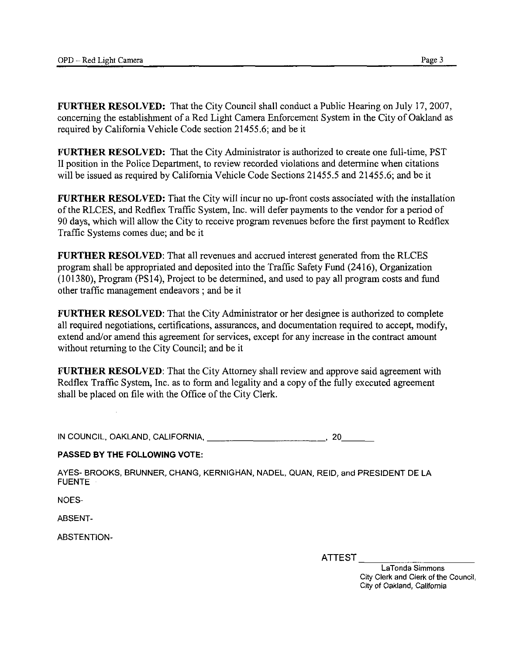FURTHER RESOLVED: That the City Council shall conduct a Public Hearing on July 17, 2007, concerning the establishment of a Red Light Camera Enforcement System in the City of Oakland as required by California Vehicle Code section 21455.6; and be it

FURTHER RESOLVED: That the City Administrator is authorized to create one full-time, PST II position in the Police Department, to review recorded violations and determine when citations will be issued as required by California Vehicle Code Sections 21455.5 and 21455.6; and be it

FURTHER RESOLVED: That the City will incur no up-front costs associated with the installation of the RLCES, and Redflex Traffic System, Inc. will defer payments to the vendor for a period of 90 days, which will allow the City to receive program revenues before the first payment to Redflex Traffic Systems comes due; and be it

FURTHER RESOLVED: That all revenues and accrued interest generated from the RLCES program shall be appropriated and deposited into the Traffic Safety Fund (2416), Organization (101380), Program (PS14), Project to be determined, and used to pay all program costs and fund other traffic management endeavors ; and be it

FURTHER RESOLVED: That the City Administrator or her designee is authorized to complete all required negotiations, certifications, assurances, and documentation required to accept, modify, extend and/or amend this agreement for services, except for any increase in the contract amount without returning to the City Council; and be it

FURTHER RESOLVED: That the City Attorney shall review and approve said agreement with Redflex Traffic System, Inc. as to form and legality and a copy of the fully executed agreement shall be placed on file with the Office of the City Clerk.

IN COUNCIL, OAKLAND, CALIFORNIA. 20\_

#### PASSED BY THE FOLLOWING VOTE:

AYES- BROOKS, BRUNNER, CHANG, KERNIGHAN, NADEL, QUAN, REID, and PRESIDENT DE LA FUENTE

NOES-

ABSENT-

ABSTENT1ON-

ATTEST

LaTonda Simmons City Clerk and Clerk of the Council, City of Oakland, California